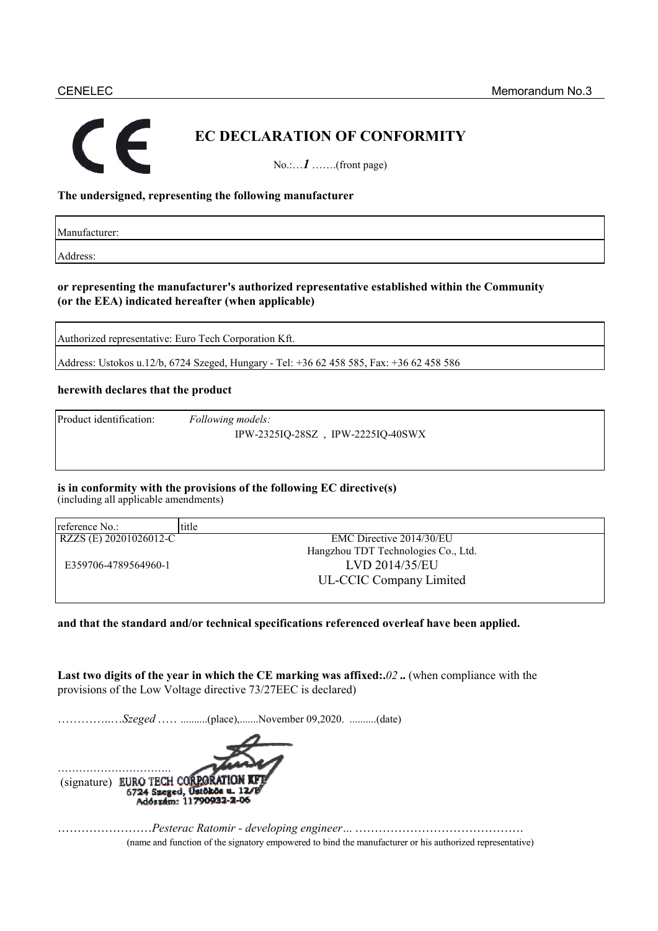# **EC DECLARATION OF CONFORMITY**

No.:…*1* …….(front page)

## **The undersigned, representing the following manufacturer**

Manufacturer:

Address:

### **or representing the manufacturer's authorized representative established within the Community (or the EEA) indicated hereafter (when applicable)**

Authorized representative: Euro Tech Corporation Kft.

Address: Ustokos u.12/b, 6724 Szeged, Hungary - Tel: +36 62 458 585, Fax: +36 62 458 586

### **herewith declares that the product**

Product identification: *Following models:* Product identification: *Following models:*

IPW-2325IQ-28SZ , IPW-2225IQ-40SWX

# **is in conformity with the provisions of the following EC directive(s)**

(including all applicable amendments)

| reference No.:         | title                               |
|------------------------|-------------------------------------|
| RZZS (E) 20201026012-C | EMC Directive 2014/30/EU            |
|                        | Hangzhou TDT Technologies Co., Ltd. |
| E359706-4789564960-1   | LVD 2014/35/EU                      |
|                        | <b>UL-CCIC Company Limited</b>      |
|                        |                                     |

### **and that the standard and/or technical specifications referenced overleaf have been applied.**

**Last two digits of the year in which the CE marking was affixed:.***02* **..** (when compliance with the provisions of the Low Voltage directive 73/27EEC is declared)

…………..…*Szeged* ……..........(place),.......November 09,2020. ..........(date)



……………………*Pesterac Ratomir - developing engineer…* ……………………………………. (name and function of the signatory empowered to bind the manufacturer or his authorized representative) (name and function of the signatory empowered to bind the manufacturer or his authorized